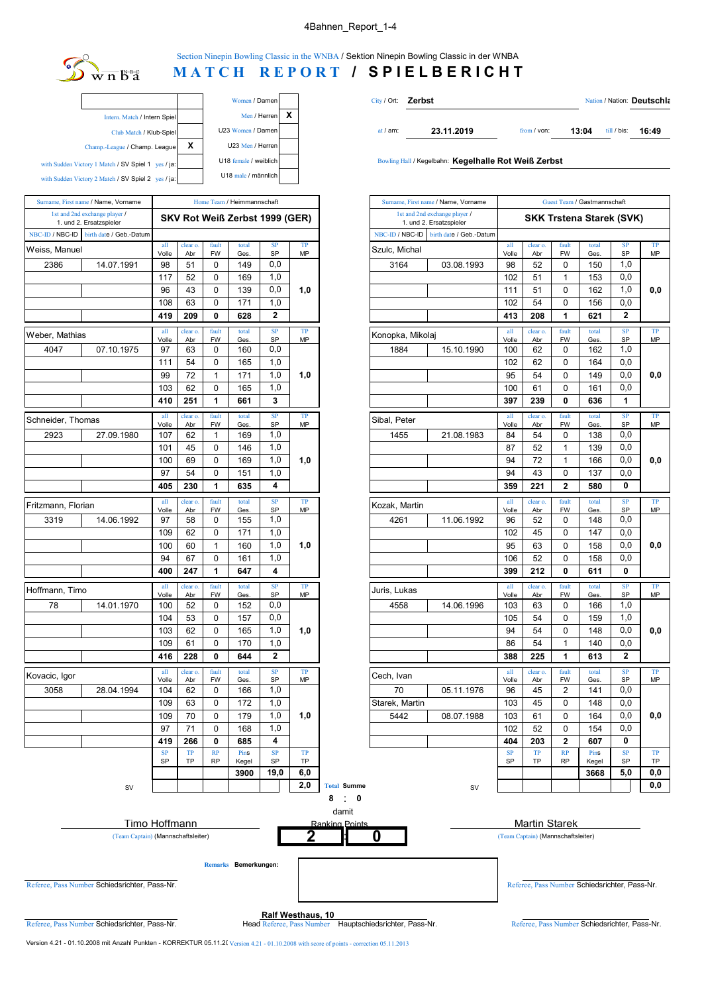## 4Bahnen\_Report\_1-4



Section Ninepin Bowling Classic in the WNBA / Sektion Ninepin Bowling Classic in der WNBA

## **MATCH REPORT / SPIELBERICHT**

|   | Women / Damen         |   |                                                       |
|---|-----------------------|---|-------------------------------------------------------|
| x | Men / Herren          |   | Intern. Match / Intern Spiel                          |
|   | U23 Women / Damen     |   | Club Match / Klub-Spiel                               |
|   | U23 Men / Herren      | х | Champ.-League / Champ. League                         |
|   | U18 female / weiblich |   | with Sudden Victory 1 Match / SV Spiel 1<br>ves / ia: |
|   | U18 male / männlich   |   | with Sudden Victory 2 Match / SV Spiel 2 yes / ja:    |

| Surname, First name / Name, Vorname<br>1st and 2nd exchange player /<br>1. und 2. Ersatzspieler |                         |              |                 |                    | Home Team / Heimmannschaft     |                  |                 |                 | Surname, First name / Name, Vorname                      |              |                                       |                         | Guest Team / Gastmannschaft  |                    |               |        |
|-------------------------------------------------------------------------------------------------|-------------------------|--------------|-----------------|--------------------|--------------------------------|------------------|-----------------|-----------------|----------------------------------------------------------|--------------|---------------------------------------|-------------------------|------------------------------|--------------------|---------------|--------|
|                                                                                                 |                         |              |                 |                    | SKV Rot Weiß Zerbst 1999 (GER) |                  |                 |                 | 1st and 2nd exchange player /<br>1. und 2. Ersatzspieler |              |                                       |                         | <b>SKK Trstena Starek (S</b> |                    |               |        |
| NBC-ID / NBC-ID                                                                                 | birth date / Geb.-Datum |              |                 |                    |                                |                  |                 | NBC-ID / NBC-ID | birth date / Geb.-Datum                                  |              |                                       |                         |                              |                    |               |        |
| Weiss, Manuel                                                                                   |                         | all<br>Volle | clear o.<br>Abr | fault<br><b>FW</b> | total<br>Ges.                  | SP<br>SP         | TP<br>MP        | Szulc, Michal   |                                                          | all<br>Volle | clear o.<br>Abr                       | fault<br><b>FW</b>      | total<br>Ges.                | S                  |               |        |
| 2386                                                                                            | 14.07.1991              | 98           | 51              | $\pmb{0}$          | 149                            | 0,0              |                 | 3164            | 03.08.1993                                               | 98           | 52                                    | $\mathbf 0$             | 150                          | $\mathbf 1$        |               |        |
|                                                                                                 |                         | 117          | 52              | 0                  | 169                            | 1,0              |                 |                 |                                                          | 102          | 51                                    | $\mathbf{1}$            | 153                          | $\mathbf 0$        |               |        |
|                                                                                                 |                         | 96           | 43              | $\mathbf 0$        | 139                            | 0,0              | 1,0             |                 |                                                          | 111          | 51                                    | 0                       | 162                          | $\mathbf{1}$       |               |        |
|                                                                                                 |                         | 108          | 63              | $\mathbf 0$        | 171                            | 1,0              |                 |                 |                                                          | 102          | 54                                    | $\mathbf 0$             | 156                          | $\mathbf 0$        |               |        |
|                                                                                                 |                         | 419          | 209             | 0                  | 628                            | $\overline{2}$   |                 |                 |                                                          | 413          | 208                                   | 1                       | 621                          |                    |               |        |
| Weber, Mathias                                                                                  |                         | all<br>Volle | clear o.<br>Abr | fault<br><b>FW</b> | total<br>Ges.                  | SP<br>SP         | TP<br><b>MP</b> |                 |                                                          |              | Konopka, Mikolaj                      |                         |                              | fault<br><b>FW</b> | total<br>Ges. | s<br>S |
| 4047                                                                                            | 07.10.1975              | 97           | 63              | 0                  | 160                            | 0,0              |                 | 1884            | 15.10.1990                                               | Volle<br>100 | Abr<br>62                             | 0                       | 162                          | $\mathbf 1$        |               |        |
|                                                                                                 |                         | 111          | 54              | 0                  | 165                            | 1,0              |                 |                 |                                                          | 102          | 62                                    | $\mathbf 0$             | 164                          | 0                  |               |        |
|                                                                                                 |                         | 99           | 72              | $\mathbf{1}$       | 171                            | 1,0              | 1,0             |                 |                                                          | 95           | 54                                    | 0                       | 149                          | $\mathbf 0$        |               |        |
|                                                                                                 |                         | 103          | 62              | $\pmb{0}$          | 165                            | 1,0              |                 |                 |                                                          | 100          | 61                                    | $\Omega$                | 161                          | $\mathbf 0$        |               |        |
|                                                                                                 |                         | 410          | 251             | 1                  | 661                            | 3                |                 |                 |                                                          | 397          | 239                                   | 0                       | 636                          |                    |               |        |
| Schneider, Thomas                                                                               |                         | all<br>Volle | clear o.<br>Abr | fault<br><b>FW</b> | total<br>Ges.                  | SP<br>SP         | TP<br>MP        | Sibal, Peter    |                                                          | all<br>Volle | clear o.<br>Abr                       | fault<br><b>FW</b>      | total<br>Ges.                | S<br>S             |               |        |
| 2923                                                                                            | 27.09.1980              | 107          | 62              | $\mathbf{1}$       | 169                            | 1,0              |                 | 1455            | 21.08.1983                                               | 84           | 54                                    | 0                       | 138                          | $\mathbf 0$        |               |        |
|                                                                                                 |                         | 101          | 45              | 0                  | 146                            | 1,0              |                 |                 |                                                          | 87           | 52                                    | $\mathbf{1}$            | 139                          | $\mathbf 0$        |               |        |
|                                                                                                 |                         | 100          | 69              | $\mathbf 0$        | 169                            | 1,0              | 1,0             |                 |                                                          | 94           | 72                                    | $\mathbf{1}$            | 166                          | $\mathbf 0$        |               |        |
|                                                                                                 |                         | 97           | 54              | $\pmb{0}$          | 151                            | 1,0              |                 |                 |                                                          | 94           | 43                                    | $\mathbf 0$             | 137                          | 0                  |               |        |
|                                                                                                 |                         | 405          | 230             | 1                  | 635                            | 4                |                 |                 |                                                          | 359          | 221                                   | $\overline{2}$          | 580                          |                    |               |        |
| Fritzmann, Florian                                                                              |                         | all<br>Volle | clear o.<br>Abr | fault<br><b>FW</b> | total<br>Ges.                  | ${\bf SP}$<br>SP | TP<br>MP        | Kozak, Martin   |                                                          | all<br>Volle | clear o.<br>fault<br><b>FW</b><br>Abr |                         | total<br>Ges.                | s<br>S             |               |        |
| 3319                                                                                            | 14.06.1992              | 97           | 58              | $\pmb{0}$          | 155                            | 1,0              |                 | 4261            | 11.06.1992                                               | 96           | 52                                    | 0                       | 148                          | $\mathbf 0$        |               |        |
|                                                                                                 |                         | 109          | 62              | 0                  | 171                            | 1,0              |                 |                 |                                                          | 102          | 45                                    | 0                       | 147                          | 0                  |               |        |
|                                                                                                 |                         | 100          | 60              | $\mathbf{1}$       | 160                            | 1,0              | 1,0             |                 |                                                          | 95           | 63                                    | $\mathbf 0$             | 158                          | $\mathbf 0$        |               |        |
|                                                                                                 |                         | 94           | 67              | $\pmb{0}$          | 161                            | 1,0              |                 |                 |                                                          | 106          | 52                                    | 0                       | 158                          | $\mathbf 0$        |               |        |
|                                                                                                 |                         | 400          | 247             | 1                  | 647                            | 4                |                 |                 |                                                          | 399          | 212                                   | 0                       | 611                          |                    |               |        |
| Hoffmann, Timo                                                                                  |                         | all<br>Volle | clear o.<br>Abr | fault<br>FW        | total<br>Ges.                  | SP<br>SP         | TP<br><b>MP</b> | Juris, Lukas    |                                                          | all<br>Volle | clear o.<br>Abr                       | fault<br><b>FW</b>      | total<br>Ges.                | S<br>S             |               |        |
| 78                                                                                              | 14.01.1970              | 100          | 52              | $\mathbf 0$        | 152                            | 0,0              |                 | 4558            | 14.06.1996                                               | 103          | 63                                    | 0                       | 166                          | $\mathbf{1}$       |               |        |
|                                                                                                 |                         | 104          | 53              | 0                  | 157                            | 0,0              |                 |                 |                                                          | 105          | 54                                    | $\mathbf 0$             | 159                          | 1                  |               |        |
|                                                                                                 |                         | 103          | 62              | $\pmb{0}$          | 165                            | 1,0              | 1,0             |                 |                                                          | 94           | 54                                    | $\mathbf 0$             | 148                          | $\mathbf 0$        |               |        |
|                                                                                                 |                         | 109          | 61              | 0                  | 170                            | 1,0              |                 |                 |                                                          | 86           | 54                                    | $\mathbf{1}$            | 140                          | $\mathbf 0$        |               |        |
|                                                                                                 |                         | 416          | 228             | $\mathbf{0}$       | 644                            | $\mathbf{2}$     |                 |                 |                                                          | 388          | 225                                   | 1                       | 613                          |                    |               |        |
| Kovacic, Igor                                                                                   |                         | all<br>Volle | clear o.<br>Abr | fault<br>FW        | total<br>Ges.                  | SP<br>SP         | TP<br><b>MP</b> | Cech, Ivan      |                                                          | all<br>Volle | clear o.<br>Abr                       | fault<br><b>FW</b>      | total<br>Ges.                | S<br>S             |               |        |
| 3058                                                                                            | 28.04.1994              | 104          | 62              | 0                  | 166                            | 1,0              |                 | 70              | 05.11.1976                                               | 96           | 45                                    | 2                       | 141                          | $\mathbf 0$        |               |        |
|                                                                                                 |                         | 109          | 63              | 0                  | 172                            | 1,0              |                 | Starek, Martin  |                                                          | 103          | 45                                    | 0                       | 148                          | 0                  |               |        |
|                                                                                                 |                         | 109          | 70              | $\pmb{0}$          | 179                            | 1,0              | 1,0             | 5442            | 08.07.1988                                               | 103          | 61                                    | $\mathbf 0$             | 164                          | 0                  |               |        |
|                                                                                                 |                         | 97           | 71              | $\mathbf 0$        | 168                            | 1,0              |                 |                 |                                                          | 102          | 52                                    | $\mathbf 0$             | 154                          | 0                  |               |        |
|                                                                                                 |                         | 419          | 266             | $\mathbf{0}$       | 685                            | 4                |                 |                 |                                                          | 404          | 203                                   | $\overline{\mathbf{2}}$ | 607                          |                    |               |        |
|                                                                                                 |                         | SP<br>SP     | TP<br><b>TP</b> | RP<br><b>RP</b>    | Pins<br>Kegel                  | SP<br>SP         | TP<br><b>TP</b> |                 |                                                          | SP<br>SP     | TP<br><b>TP</b>                       | RP<br><b>RP</b>         | Pins<br>Kegel                | s<br>S             |               |        |
|                                                                                                 |                         |              |                 |                    | 3900                           | 19.0             | 6.0             |                 |                                                          |              |                                       |                         | 3668                         | 5                  |               |        |

| Women / Damen  | City / Ort: <b>Zerbst</b> |            |               |       | Nation / Nation: Deutschla |       |  |
|----------------|---------------------------|------------|---------------|-------|----------------------------|-------|--|
| Men / Herren X |                           |            |               |       |                            |       |  |
| Women / Damen  | at $/$ am:                | 23.11.2019 | from $/$ von: | 13:04 | till / bis:                | 16:49 |  |

Bowling Hall / Kegelbahn: Kegelhalle Rot Weiß Zerbst

| name                 | Home Team / Heimmannschaft |                 |                          |                                |                         |           |                    |                  | Guest Team / Gastmannschaft<br>Surname, First name / Name, Vorname |                                 |                 |                    |                     |                  |           |
|----------------------|----------------------------|-----------------|--------------------------|--------------------------------|-------------------------|-----------|--------------------|------------------|--------------------------------------------------------------------|---------------------------------|-----------------|--------------------|---------------------|------------------|-----------|
|                      |                            |                 |                          | SKV Rot Weiß Zerbst 1999 (GER) |                         |           |                    |                  | 1st and 2nd exchange player /<br>1. und 2. Ersatzspieler           | <b>SKK Trstena Starek (SVK)</b> |                 |                    |                     |                  |           |
| <sub>2</sub> .-Datum |                            |                 |                          |                                |                         |           |                    | NBC-ID / NBC-ID  | birth date / Geb.-Datum                                            |                                 |                 |                    |                     |                  |           |
|                      | all<br>Volle               | clear o.<br>Abr | fault<br><b>FW</b>       | total<br>Ges                   | SP<br>SP                | TP<br>MP  |                    | Szulc, Michal    |                                                                    | all<br>Volle                    | clear o.<br>Abr | fault<br><b>FW</b> | total<br><b>Ges</b> | SP<br>SP         | TP<br>MP  |
| 991                  | 98                         | 51              | 0                        | 149                            | 0,0                     |           |                    | 3164             | 03.08.1993                                                         | 98                              | 52              | 0                  | 150                 | 1,0              |           |
|                      | 117                        | 52              | $\mathbf 0$              | 169                            | 1,0                     |           |                    |                  |                                                                    | 102                             | 51              | 1                  | 153                 | 0,0              |           |
|                      | 96                         | 43              | $\mathbf 0$              | 139                            | 0,0                     | 1,0       |                    |                  |                                                                    | 111                             | 51              | $\mathbf 0$        | 162                 | 1,0              | 0,0       |
|                      | 108                        | 63              | $\mathbf 0$              | 171                            | 1,0                     |           |                    |                  |                                                                    | 102                             | 54              | 0                  | 156                 | 0,0              |           |
|                      | 419                        | 209             | 0                        | 628                            | $\overline{2}$          |           |                    |                  |                                                                    | 413                             | 208             | $\mathbf{1}$       | 621                 | $\overline{2}$   |           |
|                      | all                        | clear o.        | fault                    | total                          | SP                      | TP        |                    |                  |                                                                    | all                             | clear o.        | fault              | total               | SP               | TP        |
|                      | Volle                      | Abr             | <b>FW</b>                | Ges                            | <b>SP</b>               | MP        |                    | Konopka, Mikolaj |                                                                    | Volle                           | Abr             | FW                 | Ges                 | SP               | MP        |
| 975                  | 97                         | 63              | 0                        | 160                            | 0,0                     |           |                    | 1884             | 15.10.1990                                                         | 100                             | 62              | 0                  | 162                 | 1,0              |           |
|                      | 111                        | 54              | $\mathbf 0$              | 165                            | 1,0                     |           |                    |                  |                                                                    | 102                             | 62              | 0                  | 164                 | 0,0              |           |
|                      | 99                         | 72              | $\mathbf{1}$             | 171                            | 1,0                     | 1,0       |                    |                  |                                                                    | 95                              | 54              | $\mathbf 0$        | 149                 | 0,0              | 0,0       |
|                      | 103                        | 62              | 0                        | 165                            | 1,0                     |           |                    |                  |                                                                    | 100                             | 61              | $\mathbf 0$        | 161                 | 0,0              |           |
|                      | 410                        | 251             | 1                        | 661                            | 3                       |           |                    |                  |                                                                    | 397                             | 239             | $\mathbf{0}$       | 636                 | 1                |           |
|                      | all<br>Volle               | clear o.<br>Abr | fault<br><b>FW</b>       | total<br>Ges                   | SP<br>SP                | TP<br>MP  |                    | Sibal, Peter     |                                                                    | all<br>Volle                    | clear o.<br>Abr | fault<br><b>FW</b> | total<br>Ges        | SP<br>SP         | TP<br>MP  |
| 980                  | 107                        | 62              | $\mathbf{1}$             | 169                            | 1,0                     |           |                    | 1455             | 21.08.1983                                                         | 84                              | 54              | $\mathbf 0$        | 138                 | 0,0              |           |
|                      | 101                        | 45              | $\pmb{0}$                | 146                            | 1,0                     |           |                    |                  |                                                                    | 87                              | 52              | $\mathbf{1}$       | 139                 | 0,0              |           |
|                      | 100                        | 69              | 0                        | 169                            | 1,0                     | 1,0       |                    |                  |                                                                    | 94                              | 72              | 1                  | 166                 | 0,0              | 0,0       |
|                      | 97                         | 54              | $\Omega$                 | 151                            | 1,0                     |           |                    |                  |                                                                    | 94                              | 43              | $\Omega$           | 137                 | 0.0              |           |
|                      | 405                        | 230             | 1                        | 635                            | $\overline{\mathbf{4}}$ |           |                    |                  |                                                                    | 359                             | 221             | $\overline{2}$     | 580                 | $\mathbf{0}$     |           |
|                      | $\mathbf{all}$             | clear o.        | fault                    | total                          | SP                      | TP        |                    |                  |                                                                    | all                             | clear o.        | fault              | total               | SP               | TP        |
|                      | Volle                      | Abr             | <b>FW</b>                | Ges                            | SP                      | <b>MP</b> |                    | Kozak, Martin    |                                                                    | Volle                           | Abr             | <b>FW</b>          | Ges.                | SP               | <b>MP</b> |
| 992                  | 97                         | 58              | $\mathbf 0$              | 155                            | 1,0                     |           |                    | 4261             | 11.06.1992                                                         | 96                              | 52              | $\mathbf 0$        | 148                 | 0,0              |           |
|                      | 109                        | 62              | 0                        | 171                            | 1,0                     |           |                    |                  |                                                                    | 102                             | 45              | $\mathbf 0$        | 147                 | 0,0              |           |
|                      | 100                        | 60              | $\mathbf{1}$             | 160                            | 1,0                     | 1,0       |                    |                  |                                                                    | 95                              | 63              | 0                  | 158                 | 0,0              | 0, 0      |
|                      | 94                         | 67              | $\mathbf 0$              | 161                            | 1,0                     |           |                    |                  |                                                                    | 106                             | 52              | $\mathbf 0$        | 158                 | 0,0              |           |
|                      | 400                        | 247             | 1                        | 647                            | 4                       |           |                    |                  |                                                                    | 399                             | 212             | $\mathbf{0}$       | 611                 | 0                |           |
|                      | all                        | clear o.        | fault                    | total                          | <b>SP</b>               | TP        |                    | Juris, Lukas     |                                                                    | all                             | clear o.        | fault              | total               | <b>SP</b>        | TP        |
| 970                  | Volle<br>100               | Abr<br>52       | <b>FW</b><br>$\mathbf 0$ | Ges<br>152                     | SP<br>0,0               | MP        |                    | 4558             | 14.06.1996                                                         | Volle<br>103                    | Abr<br>63       | <b>FW</b><br>0     | Ges<br>166          | <b>SP</b><br>1,0 | MP        |
|                      | 104                        | 53              | 0                        | 157                            | 0,0                     |           |                    |                  |                                                                    | 105                             | 54              | $\Omega$           | 159                 | 1,0              |           |
|                      | 103                        | 62              | 0                        | 165                            | 1,0                     | 1,0       |                    |                  |                                                                    | 94                              | 54              | 0                  | 148                 | 0,0              | 0,0       |
|                      | 109                        | 61              | $\mathbf 0$              | 170                            | 1,0                     |           |                    |                  |                                                                    | 86                              | 54              | $\mathbf{1}$       | 140                 | 0,0              |           |
|                      | 416                        | 228             | 0                        | 644                            | $\overline{\mathbf{2}}$ |           |                    |                  |                                                                    | 388                             | 225             | 1                  | 613                 | $\mathbf 2$      |           |
|                      | all                        | clear o.        | fault                    | total                          | <b>SP</b>               | TP        |                    |                  |                                                                    | all                             | clear o.        | fault              | total               | SP               | TP        |
|                      | Volle                      | Abr             | <b>FW</b>                | Ges                            | SP                      | MP        |                    | Cech, Ivan       |                                                                    | Volle                           | Abr             | <b>FW</b>          | Ges                 | <b>SP</b>        | MP        |
| 994                  | 104                        | 62              | 0                        | 166                            | 1,0                     |           |                    | 70               | 05.11.1976                                                         | 96                              | 45              | 2                  | 141                 | 0,0              |           |
|                      | 109                        | 63              | $\pmb{0}$                | 172                            | 1,0                     |           |                    | Starek, Martin   |                                                                    | 103                             | 45              | $\mathbf 0$        | 148                 | 0.0              |           |
|                      | 109                        | 70              | $\pmb{0}$                | 179                            | 1,0                     | 1,0       |                    | 5442             | 08.07.1988                                                         | 103                             | 61              | $\mathbf 0$        | 164                 | 0,0              | 0,0       |
|                      | 97                         | 71              | $\mathbf 0$              | 168                            | 1,0                     |           |                    |                  |                                                                    | 102                             | 52              | $\mathbf 0$        | 154                 | 0,0              |           |
|                      | 419                        | 266             | 0                        | 685                            | 4                       |           |                    |                  |                                                                    | 404                             | 203             | $\overline{2}$     | 607                 | 0                |           |
|                      | <b>SP</b><br>SP            | TP<br>TP        | RP<br><b>RP</b>          | Pins<br>Kegel                  | <b>SP</b><br>SP         | TP<br>TP  |                    |                  |                                                                    | SP<br>SP                        | <b>TP</b><br>TP | RP<br><b>RP</b>    | Pins<br>Kegel       | <b>SP</b><br>SP  | TP<br>TP  |
|                      |                            |                 |                          | 3900                           | 19,0                    | 6,0       |                    |                  |                                                                    |                                 |                 |                    | 3668                | 5,0              | 0,0       |
| SV                   |                            |                 |                          |                                |                         | 2,0       | <b>Total Summe</b> |                  | SV                                                                 |                                 |                 |                    |                     |                  | 0,0       |



**8** : **0**

**Remarks Bemerkungen:**

Referee, Pass Number Schiedsrichter, Pass-Nr. Referee, Pass Number Schiedsrichter, Pass-Nr.

Referee, Pass Number Schiedsrichter, Pass-Nr.<br>Referee, Pass Number Schiedsrichter, Pass-Nr. Head Referee, Pass Number Hauptschiedsrichter, Pass-Nr. Referee, Pass Number Schiedsrichter, Pass-Nr.

Version 4.21 - 01.10.2008 mit Anzahl Punkten - KORREKTUR 05.11.20 Version 4.21 - 01.10.2008 with score of points - correction 05.11.2013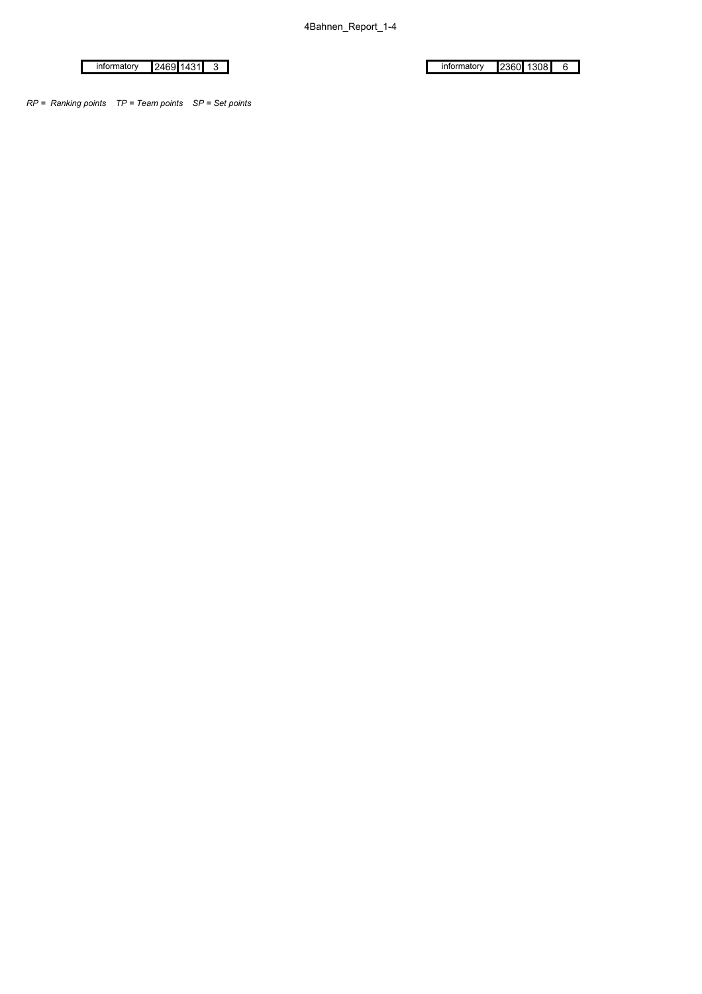informatory 2360 1308 6

 $in$ formatory 2469 1431 3

*RP = Ranking points TP = Team points SP = Set points*